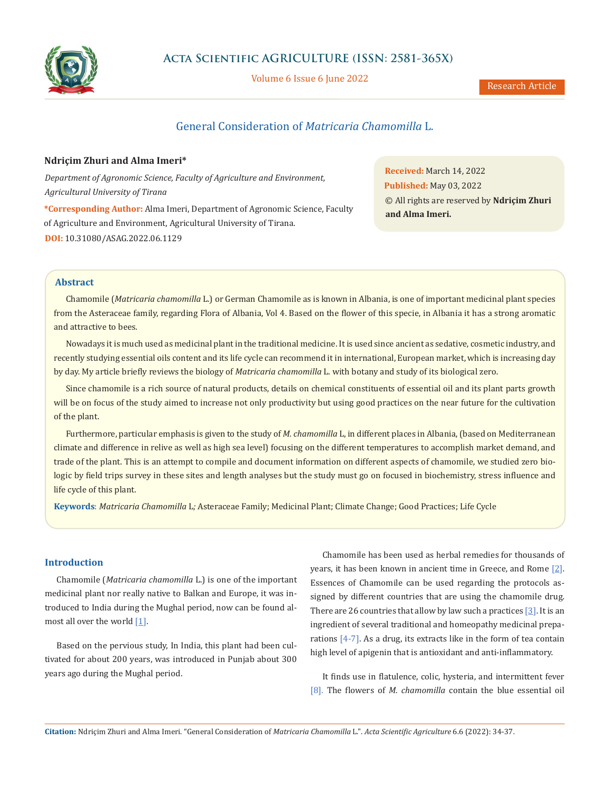

## **Acta Scientific AGRICULTURE (ISSN: 2581-365X)**

Volume 6 Issue 6 June 2022

# General Consideration of *Matricaria Chamomilla* L.

#### **Ndriçim Zhuri and Alma Imeri\***

*Department of Agronomic Science, Faculty of Agriculture and Environment, Agricultural University of Tirana*

**\*Corresponding Author:** Alma Imeri, Department of Agronomic Science, Faculty of Agriculture and Environment, Agricultural University of Tirana. **DOI:** [10.31080/ASAG.2022.06.1129](https://actascientific.com/ASAG/pdf/ASAG-06-1129.pdf)

**Received:** March 14, 2022 **Published:** May 03, 2022 © All rights are reserved by **Ndriçim Zhuri and Alma Imeri.**

#### **Abstract**

Chamomile (*Matricaria chamomilla* L.) or German Chamomile as is known in Albania, is one of important medicinal plant species from the Asteraceae family, regarding Flora of Albania, Vol 4. Based on the flower of this specie, in Albania it has a strong aromatic and attractive to bees.

Nowadays it is much used as medicinal plant in the traditional medicine. It is used since ancient as sedative, cosmetic industry, and recently studying essential oils content and its life cycle can recommend it in international, European market, which is increasing day by day. My article briefly reviews the biology of *Matricaria chamomilla* L. with botany and study of its biological zero.

Since chamomile is a rich source of natural products, details on chemical constituents of essential oil and its plant parts growth will be on focus of the study aimed to increase not only productivity but using good practices on the near future for the cultivation of the plant.

Furthermore, particular emphasis is given to the study of *M. chamomilla* L, in different places in Albania, (based on Mediterranean climate and difference in relive as well as high sea level) focusing on the different temperatures to accomplish market demand, and trade of the plant. This is an attempt to compile and document information on different aspects of chamomile, we studied zero biologic by field trips survey in these sites and length analyses but the study must go on focused in biochemistry, stress influence and life cycle of this plant.

**Keywords**: *Matricaria Chamomilla* L*;* Asteraceae Family; Medicinal Plant; Climate Change; Good Practices; Life Cycle

#### **Introduction**

Chamomile (*Matricaria chamomilla* L.) is one of the important medicinal plant nor really native to Balkan and Europe, it was introduced to India during the Mughal period, now can be found almost all over the world  $[1]$  $[1]$ .

Based on the pervious study, In India, this plant had been cultivated for about 200 years, was introduced in Punjab about 300 years ago during the Mughal period.

Chamomile has been used as herbal remedies for thousands of years, it has been known in ancient time in Greece, and Rome [\[2\]](https://www.ncbi.nlm.nih.gov/pmc/articles/PMC3210003/#ref6). Essences of Chamomile can be used regarding the protocols assigned by different countries that are using the chamomile drug. There are 26 countries that allow by law such a practices  $[3]$  $[3]$  $[3]$ . It is an ingredient of several traditional and homeopathy medicinal preparations [4-7]. As a drug, its extracts like in the form of tea contain high level of apigenin that is antioxidant and anti-inflammatory.

It finds use in flatulence, colic, hysteria, and intermittent fever [8]. The flowers of *M. chamomilla* contain the blue essential oil

**Citation:** Ndriçim Zhuri and Alma Imeri. "General Consideration of *Matricaria Chamomilla* L.". *Acta Scientific Agriculture* 6.6 (2022): 34-37.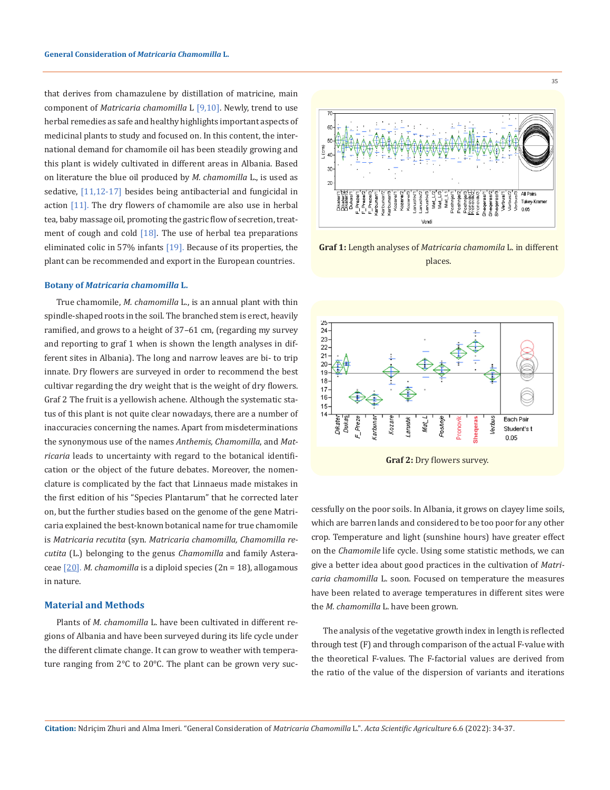that derives from chamazulene by distillation of matricine, main component of *Matricaria chamomilla* L [9,10]. Newly, trend to use herbal remedies as safe and healthy highlights important aspects of medicinal plants to study and focused on. In this content, the international demand for chamomile oil has been steadily growing and this plant is widely cultivated in different areas in Albania. Based on literature the blue oil produced by *M. chamomilla* L., is used as sedative, [11,12-17] besides being antibacterial and fungicidal in action [11]. The dry flowers of chamomile are also use in herbal tea, baby massage oil, promoting the gastric flow of secretion, treatment of cough and cold  $[18]$ . The use of herbal tea preparations eliminated colic in 57% infants  $[19]$ . Because of its properties, the plant can be recommended and export in the European countries.

#### **Botany of** *Matricaria chamomilla* **L.**

True chamomile, *M. chamomilla* L., is an annual plant with thin spindle-shaped roots in the soil. The branched stem is erect, heavily ramified, and grows to a height of 37–61 cm, (regarding my survey and reporting to graf 1 when is shown the length analyses in different sites in Albania). The long and narrow leaves are bi- to trip innate. Dry flowers are surveyed in order to recommend the best cultivar regarding the dry weight that is the weight of dry flowers. Graf 2 The fruit is a yellowish achene. Although the systematic status of this plant is not quite clear nowadays, there are a number of inaccuracies concerning the names. Apart from misdeterminations the synonymous use of the names *Anthemis, Chamomilla*, and *Matricaria* leads to uncertainty with regard to the botanical identification or the object of the future debates. Moreover, the nomenclature is complicated by the fact that Linnaeus made mistakes in the first edition of his "Species Plantarum" that he corrected later on, but the further studies based on the genome of the gene Matricaria explained the best-known botanical name for true chamomile is *Matricaria recutita* (syn. *Matricaria chamomilla, Chamomilla recutita* (L.) belonging to the genus *Chamomilla* and family Asteraceae [[20\]](https://www.ncbi.nlm.nih.gov/pmc/articles/PMC3210003/#ref37). *M. chamomilla* is a diploid species (2n = 18), allogamous in nature.

#### **Material and Methods**

Plants of *M. chamomilla* L. have been cultivated in different regions of Albania and have been surveyed during its life cycle under the different climate change. It can grow to weather with temperature ranging from 2°C to 20°C. The plant can be grown very suc-



35

**Graf 1:** Length analyses of *Matricaria chamomila* L. in different places.



cessfully on the poor soils. In Albania, it grows on clayey lime soils, which are barren lands and considered to be too poor for any other crop. Temperature and light (sunshine hours) have greater effect on the *Chamomile* life cycle. Using some statistic methods, we can give a better idea about good practices in the cultivation of *Matricaria chamomilla* L. soon. Focused on temperature the measures have been related to average temperatures in different sites were the *M. chamomilla* L. have been grown.

The analysis of the vegetative growth index in length is reflected through test (F) and through comparison of the actual F-value with the theoretical F-values. The F-factorial values are derived from the ratio of the value of the dispersion of variants and iterations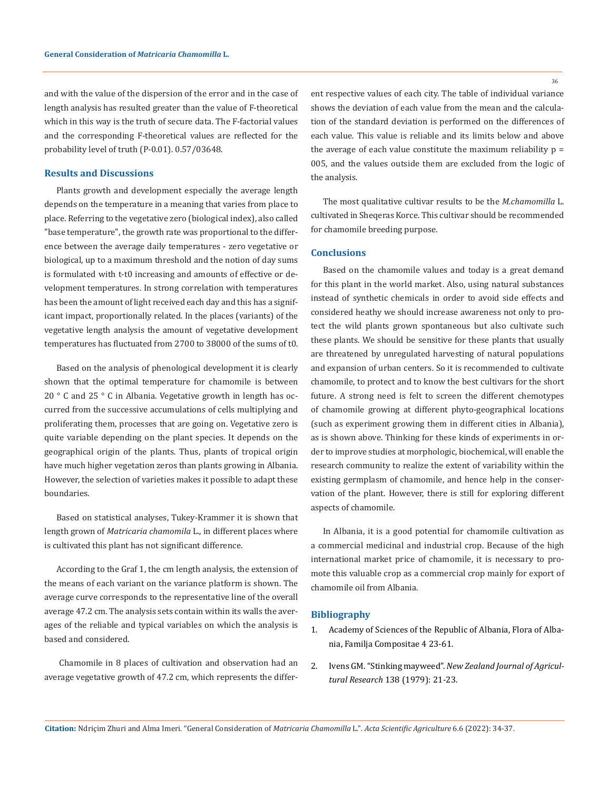and with the value of the dispersion of the error and in the case of length analysis has resulted greater than the value of F-theoretical which in this way is the truth of secure data. The F-factorial values and the corresponding F-theoretical values are reflected for the probability level of truth (P-0.01). 0.57/03648.

#### **Results and Discussions**

Plants growth and development especially the average length depends on the temperature in a meaning that varies from place to place. Referring to the vegetative zero (biological index), also called "base temperature", the growth rate was proportional to the difference between the average daily temperatures - zero vegetative or biological, up to a maximum threshold and the notion of day sums is formulated with t-t0 increasing and amounts of effective or development temperatures. In strong correlation with temperatures has been the amount of light received each day and this has a significant impact, proportionally related. In the places (variants) of the vegetative length analysis the amount of vegetative development temperatures has fluctuated from 2700 to 38000 of the sums of t0.

Based on the analysis of phenological development it is clearly shown that the optimal temperature for chamomile is between 20 ° C and 25 ° C in Albania. Vegetative growth in length has occurred from the successive accumulations of cells multiplying and proliferating them, processes that are going on. Vegetative zero is quite variable depending on the plant species. It depends on the geographical origin of the plants. Thus, plants of tropical origin have much higher vegetation zeros than plants growing in Albania. However, the selection of varieties makes it possible to adapt these boundaries.

Based on statistical analyses, Tukey-Krammer it is shown that length grown of *Matricaria chamomila* L., in different places where is cultivated this plant has not significant difference.

According to the Graf 1, the cm length analysis, the extension of the means of each variant on the variance platform is shown. The average curve corresponds to the representative line of the overall average 47.2 cm. The analysis sets contain within its walls the averages of the reliable and typical variables on which the analysis is based and considered.

 Chamomile in 8 places of cultivation and observation had an average vegetative growth of 47.2 cm, which represents the different respective values of each city. The table of individual variance shows the deviation of each value from the mean and the calculation of the standard deviation is performed on the differences of each value. This value is reliable and its limits below and above the average of each value constitute the maximum reliability  $p =$ 005, and the values outside them are excluded from the logic of the analysis.

The most qualitative cultivar results to be the *M.chamomilla* L. cultivated in Sheqeras Korce. This cultivar should be recommended for chamomile breeding purpose.

### **Conclusions**

Based on the chamomile values and today is a great demand for this plant in the world market. Also, using natural substances instead of synthetic chemicals in order to avoid side effects and considered heathy we should increase awareness not only to protect the wild plants grown spontaneous but also cultivate such these plants. We should be sensitive for these plants that usually are threatened by unregulated harvesting of natural populations and expansion of urban centers. So it is recommended to cultivate chamomile, to protect and to know the best cultivars for the short future. A strong need is felt to screen the different chemotypes of chamomile growing at different phyto-geographical locations (such as experiment growing them in different cities in Albania), as is shown above. Thinking for these kinds of experiments in order to improve studies at morphologic, biochemical, will enable the research community to realize the extent of variability within the existing germplasm of chamomile, and hence help in the conservation of the plant. However, there is still for exploring different aspects of chamomile.

In Albania, it is a good potential for chamomile cultivation as a commercial medicinal and industrial crop. Because of the high international market price of chamomile, it is necessary to promote this valuable crop as a commercial crop mainly for export of chamomile oil from Albania.

#### **Bibliography**

- 1. Academy of Sciences of the Republic of Albania, Flora of Albania, Familja Compositae 4 23-61.
- 2. Ivens GM. "Stinking mayweed". *[New Zealand Journal of Agricul](https://www.massey.ac.nz/massey/learning/colleges/college-of-sciences/clinics-and-services/weeds-database/stinking-mayweed.cfm)tural Research* [138 \(1979\): 21-23.](https://www.massey.ac.nz/massey/learning/colleges/college-of-sciences/clinics-and-services/weeds-database/stinking-mayweed.cfm)

36